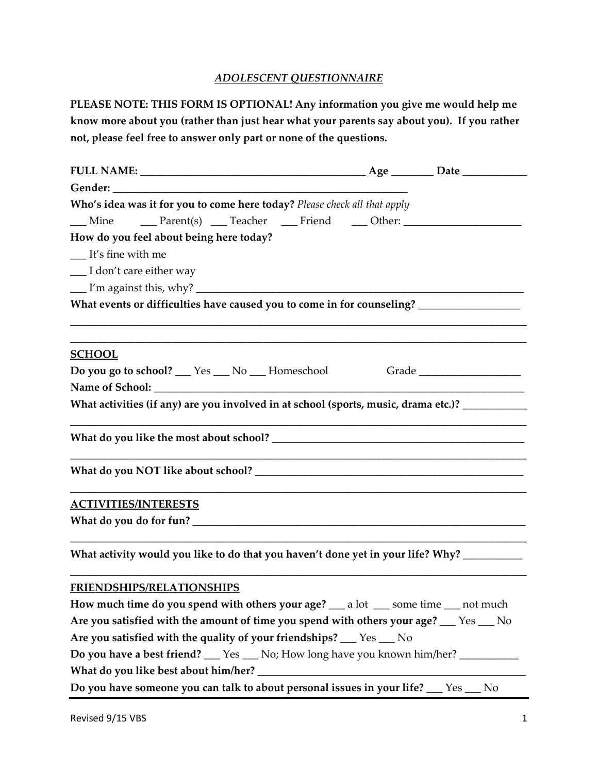## *ADOLESCENT QUESTIONNAIRE*

**PLEASE NOTE: THIS FORM IS OPTIONAL! Any information you give me would help me know more about you (rather than just hear what your parents say about you). If you rather not, please feel free to answer only part or none of the questions.**

| Gender: Contract of the Contract of the Contract of the Contract of the Contract of the Contract of the Contract of the Contract of the Contract of the Contract of the Contract of the Contract of the Contract of the Contra |  |
|--------------------------------------------------------------------------------------------------------------------------------------------------------------------------------------------------------------------------------|--|
| Who's idea was it for you to come here today? Please check all that apply                                                                                                                                                      |  |
| <u>___</u> Mine _____ Parent(s) ____ Teacher ____ Friend ____ Other: __________________                                                                                                                                        |  |
| How do you feel about being here today?                                                                                                                                                                                        |  |
| $I$ t's fine with me                                                                                                                                                                                                           |  |
| __ I don't care either way                                                                                                                                                                                                     |  |
|                                                                                                                                                                                                                                |  |
| What events or difficulties have caused you to come in for counseling? ________________                                                                                                                                        |  |
| ,我们也不能在这里的时候,我们也不能在这里的时候,我们也不能在这里的时候,我们也不能会在这里的时候,我们也不能会在这里的时候,我们也不能会在这里的时候,我们也不                                                                                                                                               |  |
|                                                                                                                                                                                                                                |  |
| <b>SCHOOL</b>                                                                                                                                                                                                                  |  |
| Do you go to school? __ Yes __ No __ Homeschool Grade __________________________                                                                                                                                               |  |
|                                                                                                                                                                                                                                |  |
| What activities (if any) are you involved in at school (sports, music, drama etc.)? _________                                                                                                                                  |  |
|                                                                                                                                                                                                                                |  |
|                                                                                                                                                                                                                                |  |
|                                                                                                                                                                                                                                |  |
|                                                                                                                                                                                                                                |  |
| <u>ACTIVITIES/INTERESTS</u>                                                                                                                                                                                                    |  |
|                                                                                                                                                                                                                                |  |
|                                                                                                                                                                                                                                |  |
| What activity would you like to do that you haven't done yet in your life? Why? ________                                                                                                                                       |  |
| <b>FRIENDSHIPS/RELATIONSHIPS</b>                                                                                                                                                                                               |  |
| How much time do you spend with others your age? __ a lot __ some time __ not much                                                                                                                                             |  |
| Are you satisfied with the amount of time you spend with others your age? __ Yes __ No                                                                                                                                         |  |
| Are you satisfied with the quality of your friendships? __ Yes __ No                                                                                                                                                           |  |
| Do you have a best friend? __ Yes __ No; How long have you known him/her? ________                                                                                                                                             |  |
|                                                                                                                                                                                                                                |  |
| Do you have someone you can talk to about personal issues in your life? __ Yes __ No                                                                                                                                           |  |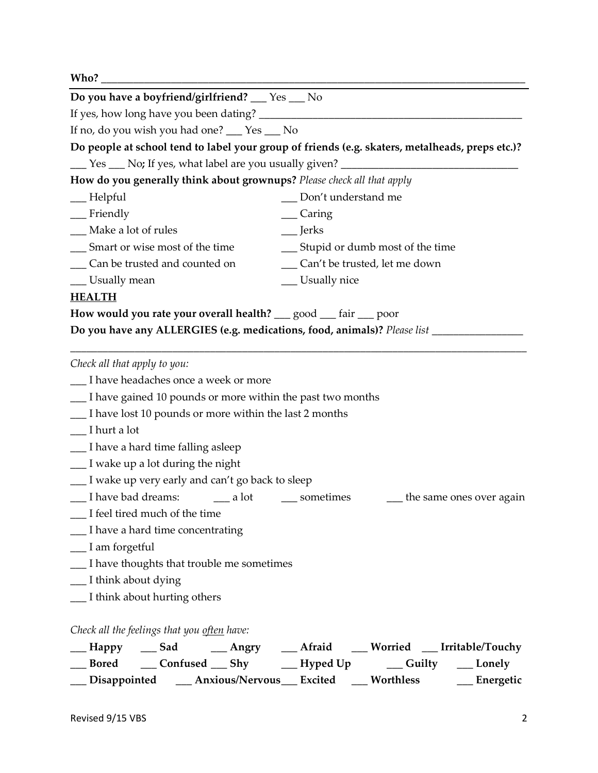| Who? $\overline{\phantom{a}}$                                          |                                                                                                                          |
|------------------------------------------------------------------------|--------------------------------------------------------------------------------------------------------------------------|
| Do you have a boyfriend/girlfriend? __ Yes __ No                       |                                                                                                                          |
|                                                                        |                                                                                                                          |
| If no, do you wish you had one? __ Yes __ No                           |                                                                                                                          |
|                                                                        | Do people at school tend to label your group of friends (e.g. skaters, metalheads, preps etc.)?                          |
|                                                                        | Let Yes Let No; If yes, what label are you usually given? Let Nose Let No; No; If yes, what label are you usually given? |
| How do you generally think about grownups? Please check all that apply |                                                                                                                          |
| $\_\_\$ Helpful                                                        | __ Don't understand me                                                                                                   |
| $\equiv$ Friendly                                                      | __ Caring                                                                                                                |
| __ Make a lot of rules                                                 | $\equiv$ Jerks                                                                                                           |
| __ Smart or wise most of the time                                      | __ Stupid or dumb most of the time                                                                                       |
| ___ Can be trusted and counted on                                      | __ Can't be trusted, let me down                                                                                         |
| __ Usually mean                                                        | __ Usually nice                                                                                                          |
| <b>HEALTH</b>                                                          |                                                                                                                          |
| How would you rate your overall health? __ good __ fair __ poor        |                                                                                                                          |
|                                                                        | Do you have any ALLERGIES (e.g. medications, food, animals)? Please list _______                                         |
| Check all that apply to you:                                           |                                                                                                                          |
| I have headaches once a week or more                                   |                                                                                                                          |
| __ I have gained 10 pounds or more within the past two months          |                                                                                                                          |
| I have lost 10 pounds or more within the last 2 months                 |                                                                                                                          |
| $\Box$ I hurt a lot                                                    |                                                                                                                          |
| __ I have a hard time falling asleep                                   |                                                                                                                          |
| $\frac{1}{\sqrt{1 - x^2}}$ I wake up a lot during the night            |                                                                                                                          |
| __ I wake up very early and can't go back to sleep                     |                                                                                                                          |
| __ I have bad dreams: ______ a lot                                     | ___ sometimes<br><sub>1</sub> the same ones over again                                                                   |
| __ I feel tired much of the time                                       |                                                                                                                          |
| __ I have a hard time concentrating                                    |                                                                                                                          |
| $\frac{1}{2}$ I am forgetful                                           |                                                                                                                          |
| __ I have thoughts that trouble me sometimes                           |                                                                                                                          |
| __ I think about dying                                                 |                                                                                                                          |
| __ I think about hurting others                                        |                                                                                                                          |
| Check all the feelings that you often have:                            |                                                                                                                          |
|                                                                        | __Happy ___Sad ____Angry ___Afraid ___Worried __Irritable/Touchy                                                         |
|                                                                        | __Bored ___Confused ___Shy ____Hyped Up ____Guilty ___Lonely                                                             |
|                                                                        | __ Disappointed ___ Anxious/Nervous___ Excited ___ Worthless ___ __ Energetic                                            |
|                                                                        |                                                                                                                          |